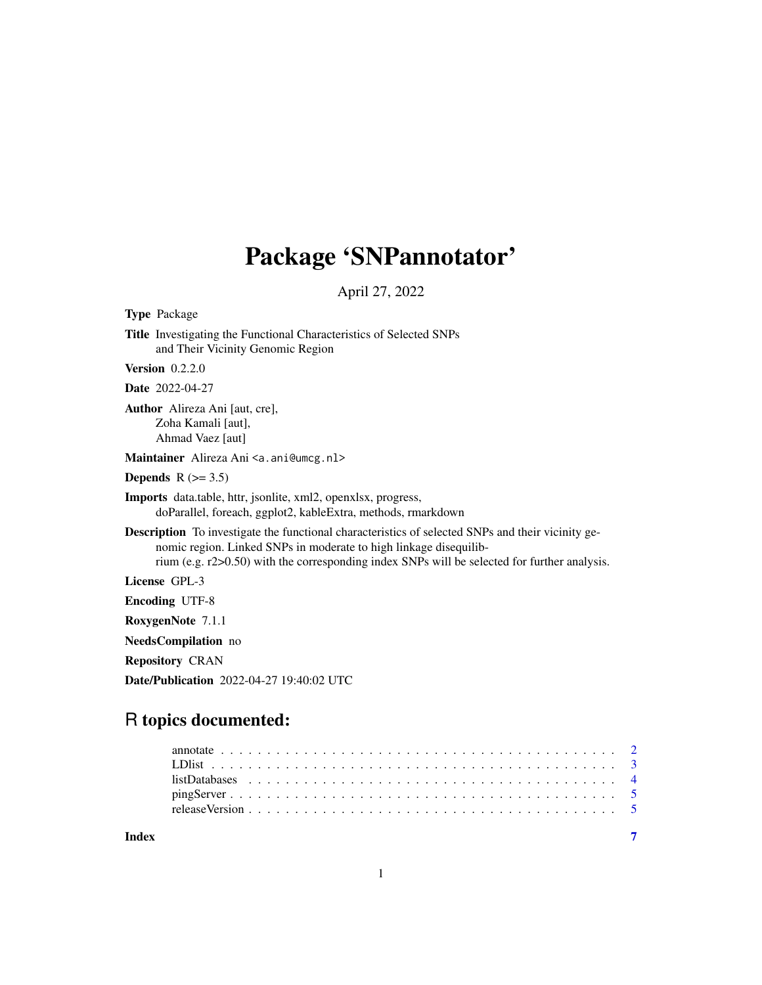# Package 'SNPannotator'

April 27, 2022

Type Package Title Investigating the Functional Characteristics of Selected SNPs and Their Vicinity Genomic Region Version 0.2.2.0 Date 2022-04-27 Author Alireza Ani [aut, cre], Zoha Kamali [aut], Ahmad Vaez [aut] Maintainer Alireza Ani <a.ani@umcg.nl> Depends  $R$  ( $> = 3.5$ ) Imports data.table, httr, jsonlite, xml2, openxlsx, progress, doParallel, foreach, ggplot2, kableExtra, methods, rmarkdown Description To investigate the functional characteristics of selected SNPs and their vicinity genomic region. Linked SNPs in moderate to high linkage disequilibrium (e.g. r2>0.50) with the corresponding index SNPs will be selected for further analysis. License GPL-3 Encoding UTF-8 RoxygenNote 7.1.1 NeedsCompilation no Repository CRAN Date/Publication 2022-04-27 19:40:02 UTC

# R topics documented:

|       | $listDatabase 1 4$ |  |  |  |  |  |  |  |  |  |  |  |  |  |  |  |  |  |  |  |
|-------|--------------------|--|--|--|--|--|--|--|--|--|--|--|--|--|--|--|--|--|--|--|
|       |                    |  |  |  |  |  |  |  |  |  |  |  |  |  |  |  |  |  |  |  |
|       |                    |  |  |  |  |  |  |  |  |  |  |  |  |  |  |  |  |  |  |  |
|       |                    |  |  |  |  |  |  |  |  |  |  |  |  |  |  |  |  |  |  |  |
| Index |                    |  |  |  |  |  |  |  |  |  |  |  |  |  |  |  |  |  |  |  |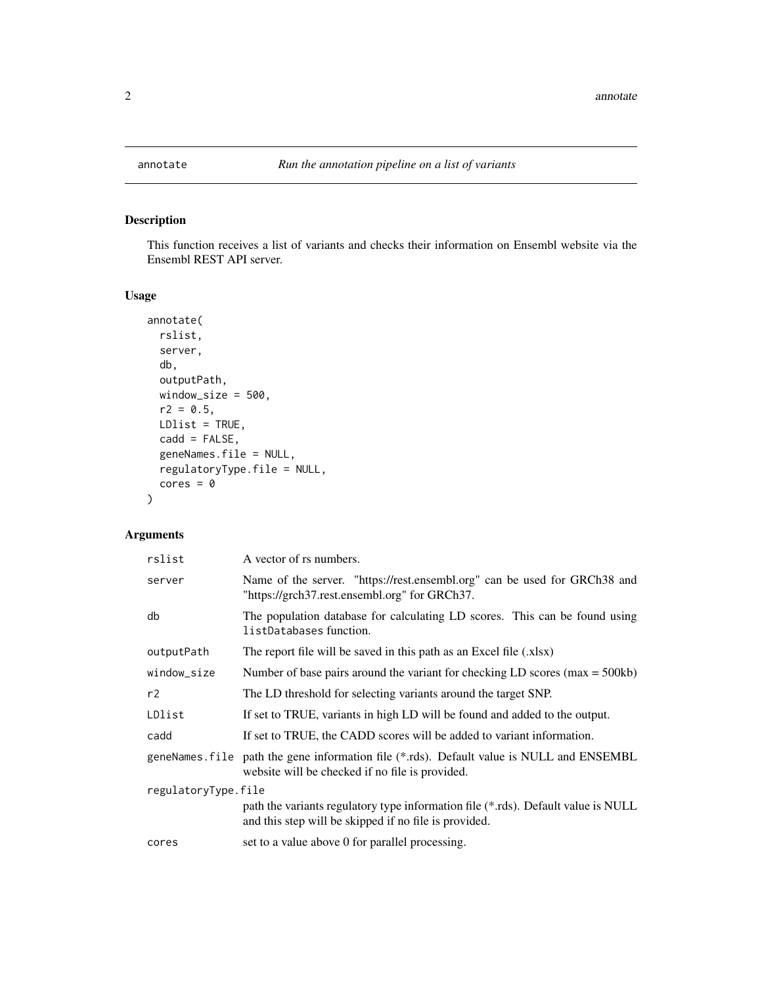<span id="page-1-0"></span>

# Description

This function receives a list of variants and checks their information on Ensembl website via the Ensembl REST API server.

# Usage

```
annotate(
  rslist,
  server,
 db,
 outputPath,
 window_size = 500,
 r2 = 0.5,
 LDlist = TRUE,cadd = FALSE,
  geneNames.file = NULL,
  regulatoryType.file = NULL,
 cores = 0)
```
# Arguments

| A vector of rs numbers.                                                                                                                     |  |  |  |  |  |  |  |
|---------------------------------------------------------------------------------------------------------------------------------------------|--|--|--|--|--|--|--|
| Name of the server. "https://rest.ensembl.org" can be used for GRCh38 and<br>"https://grch37.rest.ensembl.org" for GRCh37.                  |  |  |  |  |  |  |  |
| The population database for calculating LD scores. This can be found using<br>listDatabases function.                                       |  |  |  |  |  |  |  |
| The report file will be saved in this path as an Excel file (xlsx)                                                                          |  |  |  |  |  |  |  |
| Number of base pairs around the variant for checking LD scores ( $max = 500kb$ )                                                            |  |  |  |  |  |  |  |
| The LD threshold for selecting variants around the target SNP.                                                                              |  |  |  |  |  |  |  |
| If set to TRUE, variants in high LD will be found and added to the output.                                                                  |  |  |  |  |  |  |  |
| If set to TRUE, the CADD scores will be added to variant information.                                                                       |  |  |  |  |  |  |  |
| geneNames file path the gene information file (*.rds). Default value is NULL and ENSEMBL<br>website will be checked if no file is provided. |  |  |  |  |  |  |  |
| regulatoryType.file                                                                                                                         |  |  |  |  |  |  |  |
| path the variants regulatory type information file (*.rds). Default value is NULL<br>and this step will be skipped if no file is provided.  |  |  |  |  |  |  |  |
| set to a value above 0 for parallel processing.                                                                                             |  |  |  |  |  |  |  |
|                                                                                                                                             |  |  |  |  |  |  |  |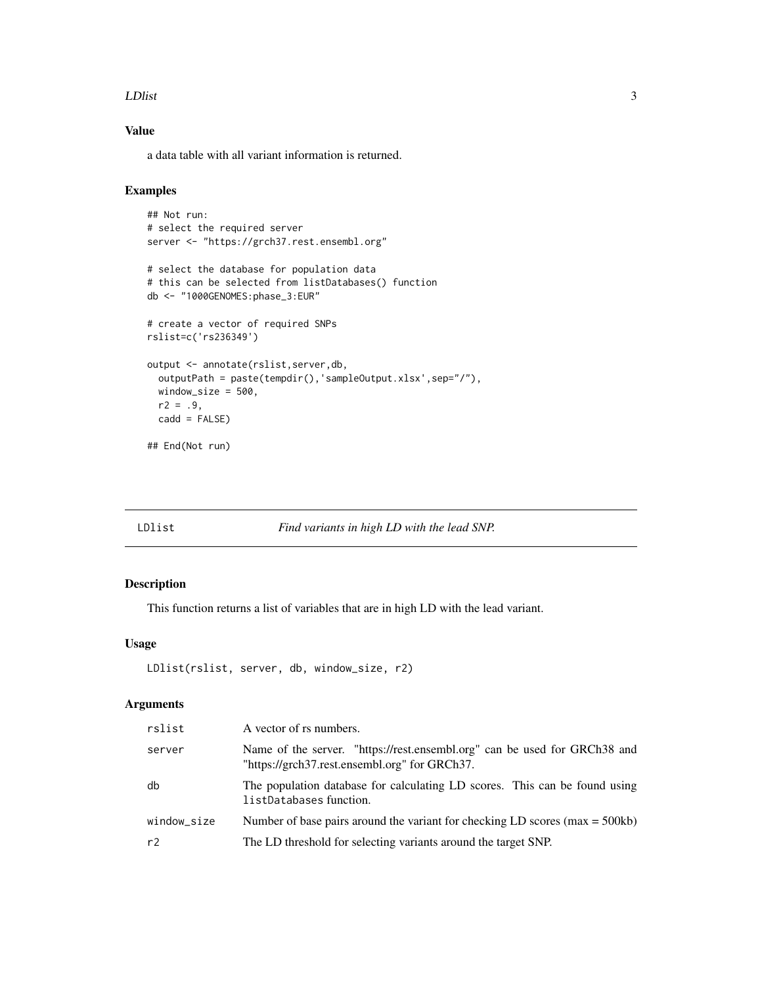#### <span id="page-2-0"></span>LDIst 3

# Value

a data table with all variant information is returned.

# Examples

```
## Not run:
# select the required server
server <- "https://grch37.rest.ensembl.org"
# select the database for population data
# this can be selected from listDatabases() function
db <- "1000GENOMES:phase_3:EUR"
# create a vector of required SNPs
rslist=c('rs236349')
output <- annotate(rslist,server,db,
  outputPath = paste(tempdir(),'sampleOutput.xlsx',sep="/"),
  window_size = 500,
 r2 = .9,
  cadd = FALSE)
## End(Not run)
```
#### LDlist *Find variants in high LD with the lead SNP.*

# Description

This function returns a list of variables that are in high LD with the lead variant.

#### Usage

```
LDlist(rslist, server, db, window_size, r2)
```
# Arguments

| rslist      | A vector of rs numbers.                                                                                                    |
|-------------|----------------------------------------------------------------------------------------------------------------------------|
| server      | Name of the server. "https://rest.ensembl.org" can be used for GRCh38 and<br>"https://grch37.rest.ensembl.org" for GRCh37. |
| db          | The population database for calculating LD scores. This can be found using<br>listDatabases function.                      |
| window size | Number of base pairs around the variant for checking LD scores ( $max = 500kb$ )                                           |
| r2          | The LD threshold for selecting variants around the target SNP.                                                             |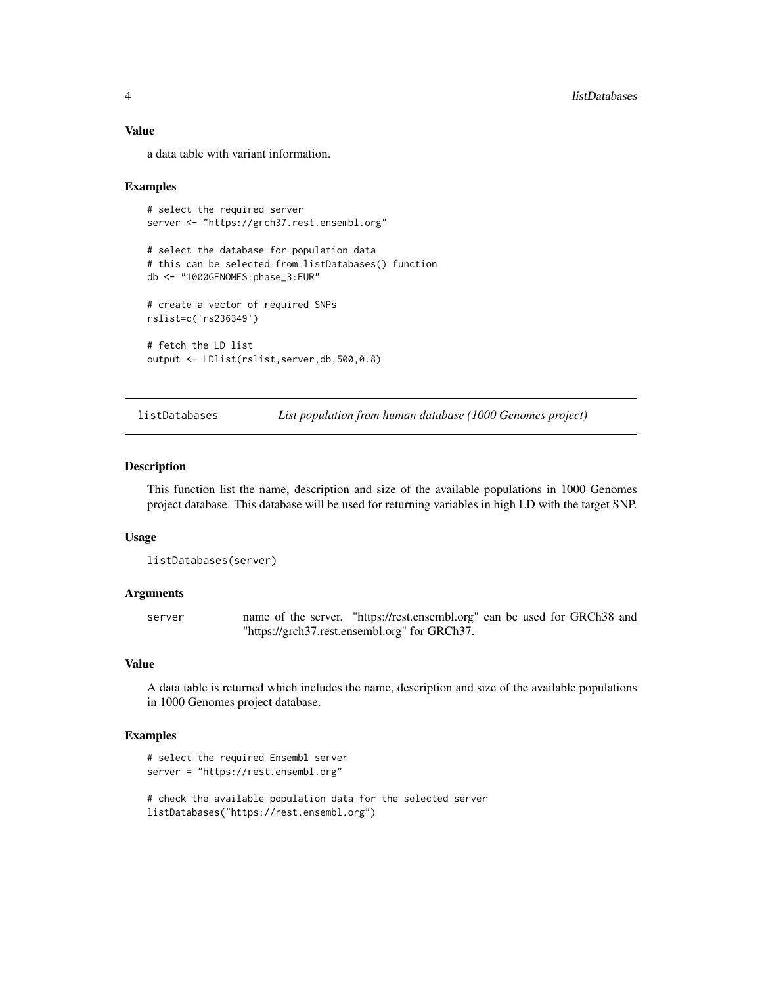#### Value

a data table with variant information.

#### Examples

```
# select the required server
server <- "https://grch37.rest.ensembl.org"
# select the database for population data
# this can be selected from listDatabases() function
db <- "1000GENOMES:phase_3:EUR"
# create a vector of required SNPs
rslist=c('rs236349')
# fetch the LD list
output <- LDlist(rslist,server,db,500,0.8)
```
listDatabases *List population from human database (1000 Genomes project)*

#### Description

This function list the name, description and size of the available populations in 1000 Genomes project database. This database will be used for returning variables in high LD with the target SNP.

#### Usage

```
listDatabases(server)
```
#### Arguments

server name of the server. "https://rest.ensembl.org" can be used for GRCh38 and "https://grch37.rest.ensembl.org" for GRCh37.

# Value

A data table is returned which includes the name, description and size of the available populations in 1000 Genomes project database.

#### Examples

```
# select the required Ensembl server
server = "https://rest.ensembl.org"
```
# check the available population data for the selected server listDatabases("https://rest.ensembl.org")

<span id="page-3-0"></span>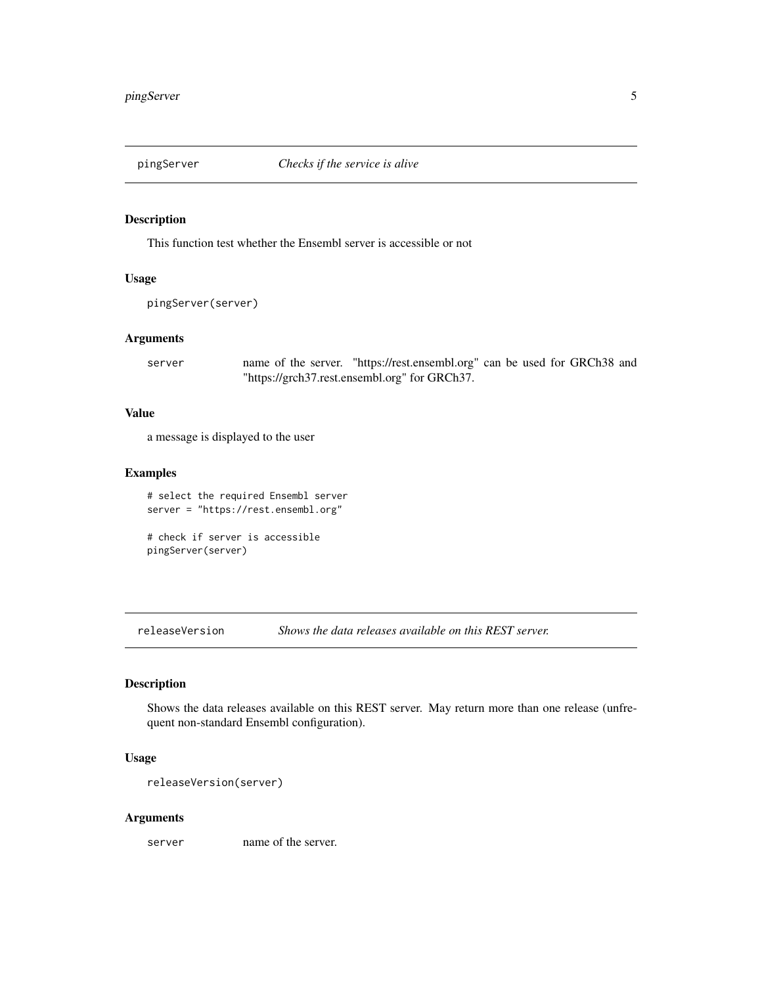<span id="page-4-0"></span>

# Description

This function test whether the Ensembl server is accessible or not

#### Usage

```
pingServer(server)
```
#### Arguments

server name of the server. "https://rest.ensembl.org" can be used for GRCh38 and "https://grch37.rest.ensembl.org" for GRCh37.

#### Value

a message is displayed to the user

#### Examples

```
# select the required Ensembl server
server = "https://rest.ensembl.org"
```

```
# check if server is accessible
pingServer(server)
```
releaseVersion *Shows the data releases available on this REST server.*

# Description

Shows the data releases available on this REST server. May return more than one release (unfrequent non-standard Ensembl configuration).

#### Usage

```
releaseVersion(server)
```
#### Arguments

server name of the server.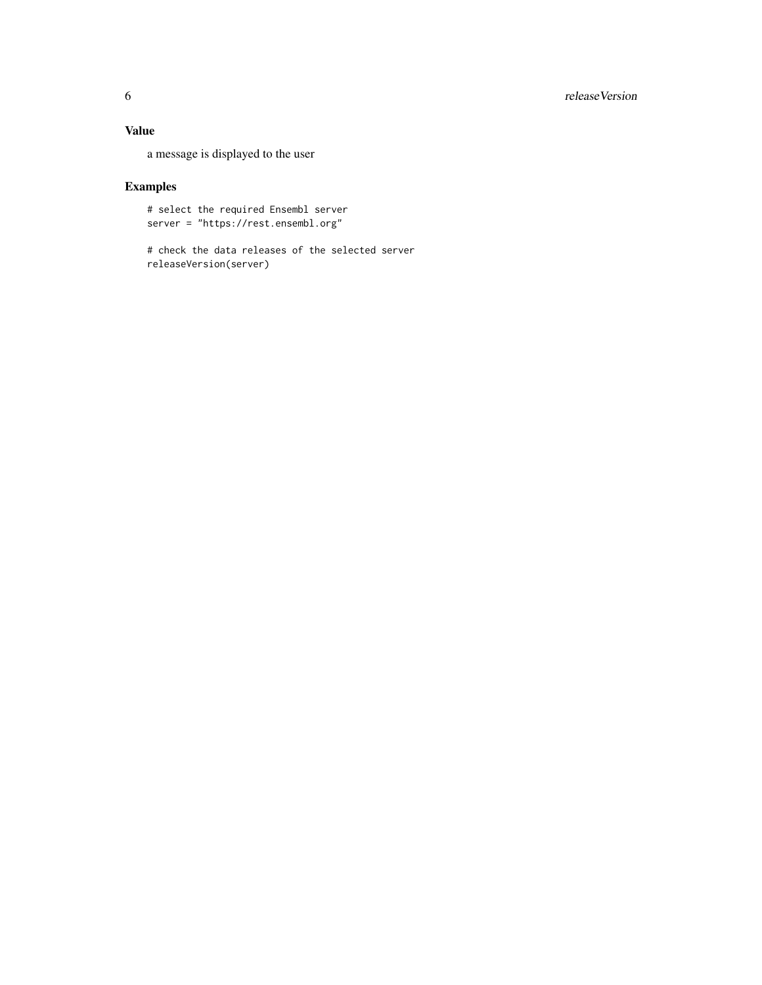# 6 releaseVersion

# Value

a message is displayed to the user

# Examples

# select the required Ensembl server server = "https://rest.ensembl.org"

# check the data releases of the selected server releaseVersion(server)